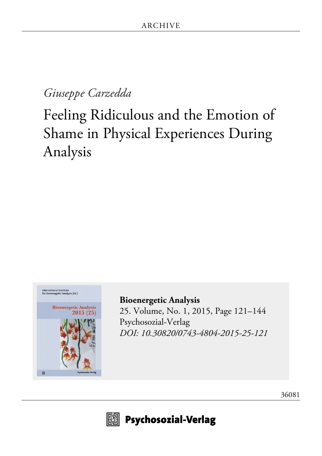# *Giuseppe Carzedda*

# Feeling Ridiculous and the Emotion of Shame in Physical Experiences During Analysis



**[Bioenergetic Analysis](http://www.psychosozial-verlag.de/2481)** [25. Volume, No. 1, 2015, Page 121–144](http://www.psychosozial-verlag.de/2481) [Psychosozial-Verlag](http://www.psychosozial-verlag.de/2481) *[DOI: 10.30820/0743-4804-2015-25-121](https://doi.org/10.30820/0743-4804-2015-25-121)*





 $\boxplus$  Psychosozial-Verlag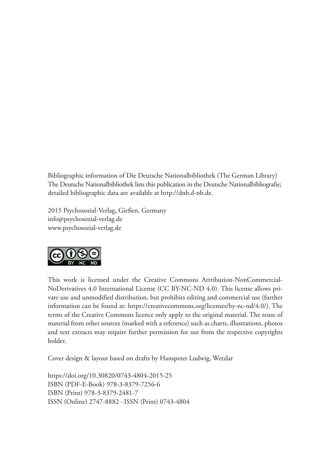Bibliographic information of Die Deutsche Nationalbibliothek (The German Library) The Deutsche Nationalbibliothek lists this publication in the Deutsche Nationalbibliografie; detailed bibliographic data are available at http://dnb.d-nb.de.

2015 Psychosozial-Verlag, Gießen, Germany info@psychosozial-verlag.de www.psychosozial-verlag.de



This work is licensed under the Creative Commons Attribution-NonCommercial-NoDerivatives 4.0 International License (CC BY-NC-ND 4.0). This license allows private use and unmodified distribution, but prohibits editing and commercial use (further information can be found at: https://creativecommons.org/licenses/by-nc-nd/4.0/). The terms of the Creative Commons licence only apply to the original material. The reuse of material from other sources (marked with a reference) such as charts, illustrations, photos and text extracts may require further permission for use from the respective copyrights holder.

Cover design & layout based on drafts by Hanspeter Ludwig, Wetzlar

https://doi.org/10.30820/0743-4804-2015-25 ISBN (PDF-E-Book) 978-3-8379-7256-6 ISBN (Print) 978-3-8379-2481-7 ISSN (Online) 2747-8882 · ISSN (Print) 0743-4804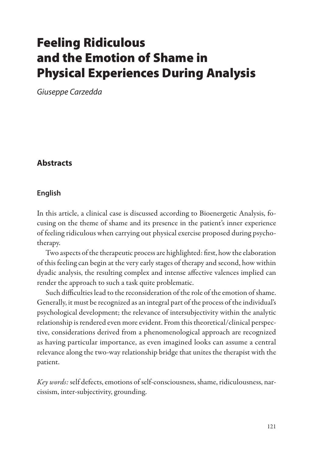# Feeling Ridiculous and the Emotion of Shame in Physical Experiences During Analysis

*Giuseppe Carzedda*

# **Abstracts**

#### **English**

In this article, a clinical case is discussed according to Bioenergetic Analysis, focusing on the theme of shame and its presence in the patient's inner experience of feeling ridiculous when carrying out physical exercise proposed during psychotherapy.

Two aspects of the therapeutic process are highlighted: first, how the elaboration of this feeling can begin at the very early stages of therapy and second, how within dyadic analysis, the resulting complex and intense affective valences implied can render the approach to such a task quite problematic.

Such difficulties lead to the reconsideration of the role of the emotion of shame. Generally, it must be recognized as an integral part of the process of the individual's psychological development; the relevance of intersubjectivity within the analytic relationship is rendered even more evident. From this theoretical/clinical perspective, considerations derived from a phenomenological approach are recognized as having particular importance, as even imagined looks can assume a central relevance along the two-way relationship bridge that unites the therapist with the patient.

*Key words:* self defects, emotions of self-consciousness, shame, ridiculousness, narcissism, inter-subjectivity, grounding.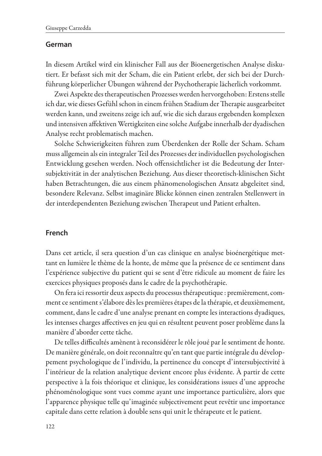#### **German**

In diesem Artikel wird ein klinischer Fall aus der Bioenergetischen Analyse diskutiert. Er befasst sich mit der Scham, die ein Patient erlebt, der sich bei der Durchführung körperlicher Übungen während der Psychotherapie lächerlich vorkommt.

Zwei Aspekte des therapeutischen Prozesses werden hervorgehoben: Erstens stelle ich dar, wie dieses Gefühl schon in einem frühen Stadium der Therapie ausgearbeitet werden kann, und zweitens zeige ich auf, wie die sich daraus ergebenden komplexen und intensiven affektiven Wertigkeiten eine solche Aufgabe innerhalb der dyadischen Analyse recht problematisch machen.

Solche Schwierigkeiten führen zum Überdenken der Rolle der Scham. Scham muss allgemein als ein integraler Teil des Prozesses der individuellen psychologischen Entwicklung gesehen werden. Noch offensichtlicher ist die Bedeutung der Intersubjektivität in der analytischen Beziehung. Aus dieser theoretisch-klinischen Sicht haben Betrachtungen, die aus einem phänomenologischen Ansatz abgeleitet sind, besondere Relevanz. Selbst imaginäre Blicke können einen zentralen Stellenwert in der interdependenten Beziehung zwischen Therapeut und Patient erhalten.

#### **French**

Dans cet article, il sera question d'un cas clinique en analyse bioénergétique mettant en lumière le thème de la honte, de même que la présence de ce sentiment dans l'expérience subjective du patient qui se sent d'être ridicule au moment de faire les exercices physiques proposés dans le cadre de la psychothérapie.

On fera ici ressortir deux aspects du processus thérapeutique : premièrement, comment ce sentiment s'élabore dès les premières étapes de la thérapie, et deuxièmement, comment, dans le cadre d'une analyse prenant en compte les interactions dyadiques, les intenses charges affectives en jeu qui en résultent peuvent poser problème dans la manière d'aborder cette tâche.

De telles difficultés amènent à reconsidérer le rôle joué par le sentiment de honte. De manière générale, on doit reconnaître qu'en tant que partie intégrale du développement psychologique de l'individu, la pertinence du concept d'intersubjectivité à l'intérieur de la relation analytique devient encore plus évidente. À partir de cette perspective à la fois théorique et clinique, les considérations issues d'une approche phénoménologique sont vues comme ayant une importance particulière, alors que l'apparence physique telle qu'imaginée subjectivement peut revêtir une importance capitale dans cette relation à double sens qui unit le thérapeute et le patient.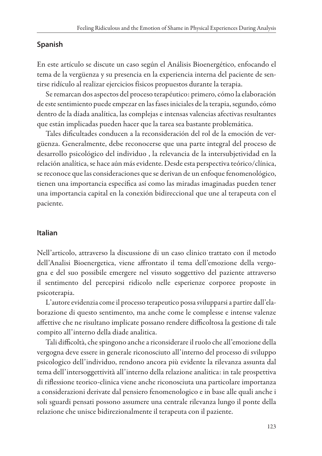#### **Spanish**

En este artículo se discute un caso según el Análisis Bioenergético, enfocando el tema de la vergüenza y su presencia en la experiencia interna del paciente de sentirse ridículo al realizar ejercicios físicos propuestos durante la terapia.

Se remarcan dos aspectos del proceso terapéutico: primero, cómo la elaboración de este sentimiento puede empezar en las fases iniciales de la terapia, segundo, cómo dentro de la díada analítica, las complejas e intensas valencias afectivas resultantes que están implicadas pueden hacer que la tarea sea bastante problemática.

Tales dificultades conducen a la reconsideración del rol de la emoción de vergüenza. Generalmente, debe reconocerse que una parte integral del proceso de desarrollo psicológico del individuo , la relevancia de la intersubjetividad en la relación analítica, se hace aún más evidente. Desde esta perspectiva teórico/clínica, se reconoce que las consideraciones que se derivan de un enfoque fenomenológico, tienen una importancia específica así como las miradas imaginadas pueden tener una importancia capital en la conexión bidireccional que une al terapeuta con el paciente.

#### **Italian**

Nell'articolo, attraverso la discussione di un caso clinico trattato con il metodo dell'Analisi Bioenergetica, viene affrontato il tema dell'emozione della vergogna e del suo possibile emergere nel vissuto soggettivo del paziente attraverso il sentimento del percepirsi ridicolo nelle esperienze corporee proposte in psicoterapia.

L'autore evidenzia come il processo terapeutico possa svilupparsi a partire dall'elaborazione di questo sentimento, ma anche come le complesse e intense valenze affettive che ne risultano implicate possano rendere difficoltosa la gestione di tale compito all'interno della diade analitica.

Tali difficoltà, che spingono anche a riconsiderare il ruolo che all'emozione della vergogna deve essere in generale riconosciuto all'interno del processo di sviluppo psicologico dell'individuo, rendono ancora più evidente la rilevanza assunta dal tema dell'intersoggettività all'interno della relazione analitica: in tale prospettiva di riflessione teorico-clinica viene anche riconosciuta una particolare importanza a considerazioni derivate dal pensiero fenomenologico e in base alle quali anche i soli sguardi pensati possono assumere una centrale rilevanza lungo il ponte della relazione che unisce bidirezionalmente il terapeuta con il paziente.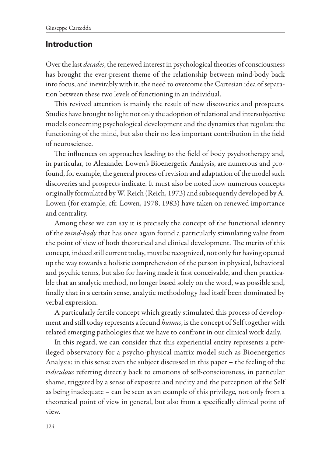#### **Introduction**

Over the last *decades*, the renewed interest in psychological theories of consciousness has brought the ever-present theme of the relationship between mind-body back into focus, and inevitably with it, the need to overcome the Cartesian idea of separation between these two levels of functioning in an individual.

This revived attention is mainly the result of new discoveries and prospects. Studies have brought to light not only the adoption of relational and intersubjective models concerning psychological development and the dynamics that regulate the functioning of the mind, but also their no less important contribution in the field of neuroscience.

The influences on approaches leading to the field of body psychotherapy and, in particular, to Alexander Lowen's Bioenergetic Analysis, are numerous and profound, for example, the general process of revision and adaptation of the model such discoveries and prospects indicate. It must also be noted how numerous concepts originally formulated by W. Reich (Reich, 1973) and subsequently developed by A. Lowen (for example, cfr. Lowen, 1978, 1983) have taken on renewed importance and centrality.

Among these we can say it is precisely the concept of the functional identity of the *mind-body* that has once again found a particularly stimulating value from the point of view of both theoretical and clinical development. The merits of this concept, indeed still current today, must be recognized, not only for having opened up the way towards a holistic comprehension of the person in physical, behavioral and psychic terms, but also for having made it first conceivable, and then practicable that an analytic method, no longer based solely on the word, was possible and, finally that in a certain sense, analytic methodology had itself been dominated by verbal expression.

A particularly fertile concept which greatly stimulated this process of development and still today represents a fecund *humus*, is the concept of Self together with related emerging pathologies that we have to confront in our clinical work daily.

In this regard, we can consider that this experiential entity represents a privileged observatory for a psycho-physical matrix model such as Bioenergetics Analysis: in this sense even the subject discussed in this paper – the feeling of the *ridiculous* referring directly back to emotions of self-consciousness, in particular shame, triggered by a sense of exposure and nudity and the perception of the Self as being inadequate – can be seen as an example of this privilege, not only from a theoretical point of view in general, but also from a specifically clinical point of view.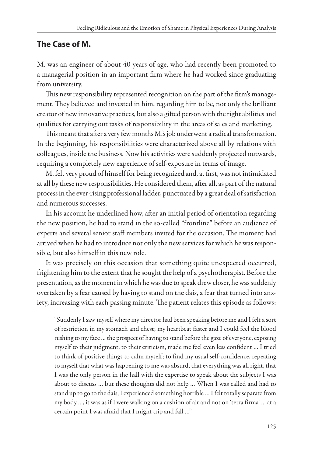# **The Case of M.**

M. was an engineer of about 40 years of age, who had recently been promoted to a managerial position in an important firm where he had worked since graduating from university.

This new responsibility represented recognition on the part of the firm's management. They believed and invested in him, regarding him to be, not only the brilliant creator of new innovative practices, but also a gifted person with the right abilities and qualities for carrying out tasks of responsibility in the areas of sales and marketing.

This meant that after a very few months M.'s job underwent a radical transformation. In the beginning, his responsibilities were characterized above all by relations with colleagues, inside the business. Now his activities were suddenly projected outwards, requiring a completely new experience of self-exposure in terms of image.

M. felt very proud of himself for being recognized and, at first, was not intimidated at all by these new responsibilities. He considered them, after all, as part of the natural process in the ever-rising professional ladder, punctuated by a great deal of satisfaction and numerous successes.

In his account he underlined how, after an initial period of orientation regarding the new position, he had to stand in the so-called "frontline" before an audience of experts and several senior staff members invited for the occasion. The moment had arrived when he had to introduce not only the new services for which he was responsible, but also himself in this new role.

It was precisely on this occasion that something quite unexpected occurred, frightening him to the extent that he sought the help of a psychotherapist. Before the presentation, as the moment in which he was due to speak drew closer, he was suddenly overtaken by a fear caused by having to stand on the dais, a fear that turned into anxiety, increasing with each passing minute. The patient relates this episode as follows:

"Suddenly I saw myself where my director had been speaking before me and I felt a sort of restriction in my stomach and chest; my heartbeat faster and I could feel the blood rushing to my face … the prospect of having to stand before the gaze of everyone, exposing myself to their judgment, to their criticism, made me feel even less confident … I tried to think of positive things to calm myself; to find my usual self-confidence, repeating to myself that what was happening to me was absurd, that everything was all right, that I was the only person in the hall with the expertise to speak about the subjects I was about to discuss … but these thoughts did not help … When I was called and had to stand up to go to the dais, I experienced something horrible … I felt totally separate from my body …, it was as if I were walking on a cushion of air and not on 'terra firma' … at a certain point I was afraid that I might trip and fall …"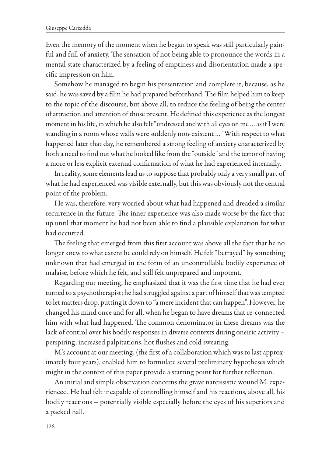Even the memory of the moment when he began to speak was still particularly painful and full of anxiety. The sensation of not being able to pronounce the words in a mental state characterized by a feeling of emptiness and disorientation made a specific impression on him.

Somehow he managed to begin his presentation and complete it, because, as he said, he was saved by a film he had prepared beforehand. The film helped him to keep to the topic of the discourse, but above all, to reduce the feeling of being the center of attraction and attention of those present. He defined this experience as the longest moment in his life, in which he also felt "undressed and with all eyes on me … as if I were standing in a room whose walls were suddenly non-existent …" With respect to what happened later that day, he remembered a strong feeling of anxiety characterized by both a need to find out what he looked like from the "outside" and the terror of having a more or less explicit external confirmation of what he had experienced internally.

In reality, some elements lead us to suppose that probably only a very small part of what he had experienced was visible externally, but this was obviously not the central point of the problem.

He was, therefore, very worried about what had happened and dreaded a similar recurrence in the future. The inner experience was also made worse by the fact that up until that moment he had not been able to find a plausible explanation for what had occurred.

The feeling that emerged from this first account was above all the fact that he no longer knew to what extent he could rely on himself. He felt "betrayed" by something unknown that had emerged in the form of an uncontrollable bodily experience of malaise, before which he felt, and still felt unprepared and impotent.

Regarding our meeting, he emphasized that it was the first time that he had ever turned to a psychotherapist; he had struggled against a part of himself that was tempted to let matters drop, putting it down to "a mere incident that can happen". However, he changed his mind once and for all, when he began to have dreams that re-connected him with what had happened. The common denominator in these dreams was the lack of control over his bodily responses in diverse contexts during oneiric activity – perspiring, increased palpitations, hot flushes and cold sweating.

M.'s account at our meeting, (the first of a collaboration which was to last approximately four years), enabled him to formulate several preliminary hypotheses which might in the context of this paper provide a starting point for further reflection.

An initial and simple observation concerns the grave narcissistic wound M. experienced. He had felt incapable of controlling himself and his reactions, above all, his bodily reactions – potentially visible especially before the eyes of his superiors and a packed hall.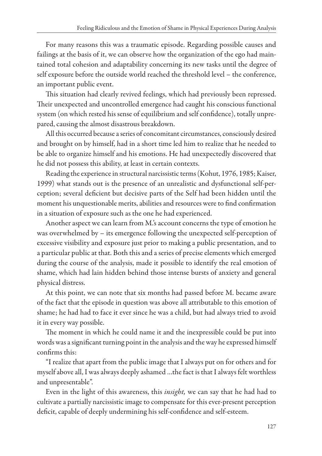For many reasons this was a traumatic episode. Regarding possible causes and failings at the basis of it, we can observe how the organization of the ego had maintained total cohesion and adaptability concerning its new tasks until the degree of self exposure before the outside world reached the threshold level – the conference, an important public event.

This situation had clearly revived feelings, which had previously been repressed. Their unexpected and uncontrolled emergence had caught his conscious functional system (on which rested his sense of equilibrium and self confidence), totally unprepared, causing the almost disastrous breakdown.

All this occurred because a series of concomitant circumstances, consciously desired and brought on by himself, had in a short time led him to realize that he needed to be able to organize himself and his emotions. He had unexpectedly discovered that he did not possess this ability, at least in certain contexts.

Reading the experience in structural narcissistic terms (Kohut, 1976, 1985; Kaiser, 1999) what stands out is the presence of an unrealistic and dysfunctional self-perception; several deficient but decisive parts of the Self had been hidden until the moment his unquestionable merits, abilities and resources were to find confirmation in a situation of exposure such as the one he had experienced.

Another aspect we can learn from M.'s account concerns the type of emotion he was overwhelmed by – its emergence following the unexpected self-perception of excessive visibility and exposure just prior to making a public presentation, and to a particular public at that. Both this and a series of precise elements which emerged during the course of the analysis, made it possible to identify the real emotion of shame, which had lain hidden behind those intense bursts of anxiety and general physical distress.

At this point, we can note that six months had passed before M. became aware of the fact that the episode in question was above all attributable to this emotion of shame; he had had to face it ever since he was a child, but had always tried to avoid it in every way possible.

The moment in which he could name it and the inexpressible could be put into words was a significant turning point in the analysis and the way he expressed himself confirms this:

"I realize that apart from the public image that I always put on for others and for myself above all, I was always deeply ashamed …the fact is that I always felt worthless and unpresentable".

Even in the light of this awareness, this *insight,* we can say that he had had to cultivate a partially narcissistic image to compensate for this ever-present perception deficit, capable of deeply undermining his self-confidence and self-esteem.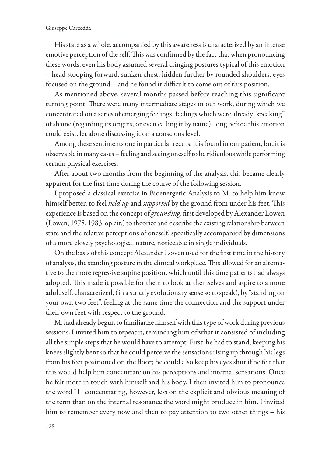His state as a whole, accompanied by this awareness is characterized by an intense emotive perception of the self. This was confirmed by the fact that when pronouncing these words, even his body assumed several cringing postures typical of this emotion – head stooping forward, sunken chest, hidden further by rounded shoulders, eyes focused on the ground – and he found it difficult to come out of this position.

As mentioned above, several months passed before reaching this significant turning point. There were many intermediate stages in our work, during which we concentrated on a series of emerging feelings; feelings which were already "speaking" of shame (regarding its origins, or even calling it by name), long before this emotion could exist, let alone discussing it on a conscious level.

Among these sentiments one in particular recurs. It is found in our patient, but it is observable in many cases – feeling and seeing oneself to be ridiculous while performing certain physical exercises.

After about two months from the beginning of the analysis, this became clearly apparent for the first time during the course of the following session.

I proposed a classical exercise in Bioenergetic Analysis to M. to help him know himself better, to feel *held up* and *supported* by the ground from under his feet. This experience is based on the concept of *grounding*, first developed by Alexander Lowen (Lowen, 1978, 1983, op.cit.) to theorize and describe the existing relationship between state and the relative perceptions of oneself, specifically accompanied by dimensions of a more closely psychological nature, noticeable in single individuals.

On the basis of this concept Alexander Lowen used for the first time in the history of analysis, the standing posture in the clinical workplace. This allowed for an alternative to the more regressive supine position, which until this time patients had always adopted. This made it possible for them to look at themselves and aspire to a more adult self, characterized, (in a strictly evolutionary sense so to speak), by "standing on your own two feet", feeling at the same time the connection and the support under their own feet with respect to the ground.

M. had already begun to familiarize himself with this type of work during previous sessions. I invited him to repeat it, reminding him of what it consisted of including all the simple steps that he would have to attempt. First, he had to stand, keeping his knees slightly bent so that he could perceive the sensations rising up through his legs from his feet positioned on the floor; he could also keep his eyes shut if he felt that this would help him concentrate on his perceptions and internal sensations. Once he felt more in touch with himself and his body, I then invited him to pronounce the word "I" concentrating, however, less on the explicit and obvious meaning of the term than on the internal resonance the word might produce in him. I invited him to remember every now and then to pay attention to two other things – his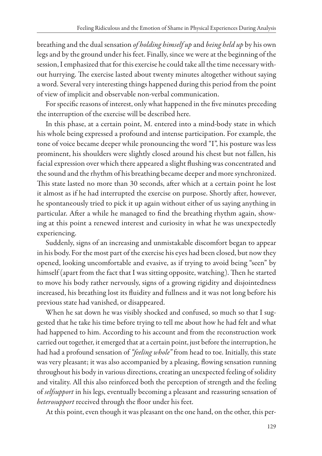breathing and the dual sensation *of holding himself up* and *being held up* by his own legs and by the ground under his feet. Finally, since we were at the beginning of the session, I emphasized that for this exercise he could take all the time necessary without hurrying. The exercise lasted about twenty minutes altogether without saying a word. Several very interesting things happened during this period from the point of view of implicit and observable non-verbal communication.

For specific reasons of interest, only what happened in the five minutes preceding the interruption of the exercise will be described here.

In this phase, at a certain point, M. entered into a mind-body state in which his whole being expressed a profound and intense participation. For example, the tone of voice became deeper while pronouncing the word "I", his posture was less prominent, his shoulders were slightly closed around his chest but not fallen, his facial expression over which there appeared a slight flushing was concentrated and the sound and the rhythm of his breathing became deeper and more synchronized. This state lasted no more than 30 seconds, after which at a certain point he lost it almost as if he had interrupted the exercise on purpose. Shortly after, however, he spontaneously tried to pick it up again without either of us saying anything in particular. After a while he managed to find the breathing rhythm again, showing at this point a renewed interest and curiosity in what he was unexpectedly experiencing.

Suddenly, signs of an increasing and unmistakable discomfort began to appear in his body. For the most part of the exercise his eyes had been closed, but now they opened, looking uncomfortable and evasive, as if trying to avoid being "seen" by himself (apart from the fact that I was sitting opposite, watching). Then he started to move his body rather nervously, signs of a growing rigidity and disjointedness increased, his breathing lost its fluidity and fullness and it was not long before his previous state had vanished, or disappeared.

When he sat down he was visibly shocked and confused, so much so that I suggested that he take his time before trying to tell me about how he had felt and what had happened to him. According to his account and from the reconstruction work carried out together, it emerged that at a certain point, just before the interruption, he had had a profound sensation of *"feeling whole"* from head to toe. Initially, this state was very pleasant; it was also accompanied by a pleasing, flowing sensation running throughout his body in various directions, creating an unexpected feeling of solidity and vitality. All this also reinforced both the perception of strength and the feeling of *selfsupport* in his legs, eventually becoming a pleasant and reassuring sensation of *heterosupport* received through the floor under his feet.

At this point, even though it was pleasant on the one hand, on the other, this per-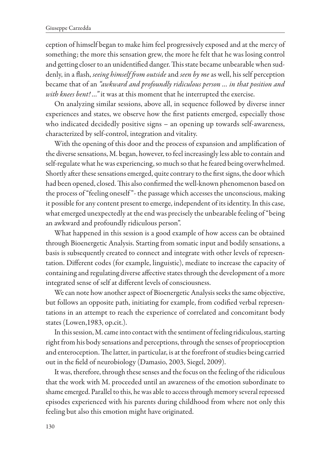ception of himself began to make him feel progressively exposed and at the mercy of something; the more this sensation grew, the more he felt that he was losing control and getting closer to an unidentified danger. This state became unbearable when suddenly, in a flash, *seeing himself from outside* and *seen by me* as well, his self perception became that of an *"awkward and profoundly ridiculous person … in that position and with knees bent! …"* it was at this moment that he interrupted the exercise.

On analyzing similar sessions, above all, in sequence followed by diverse inner experiences and states, we observe how the first patients emerged, especially those who indicated decidedly positive signs – an opening up towards self-awareness, characterized by self-control, integration and vitality.

With the opening of this door and the process of expansion and amplification of the diverse sensations, M. began, however, to feel increasingly less able to contain and self-regulate what he was experiencing, so much so that he feared being overwhelmed. Shortly after these sensations emerged, quite contrary to the first signs, the door which had been opened, closed. This also confirmed the well-known phenomenon based on the process of "feeling oneself "- the passage which accesses the unconscious, making it possible for any content present to emerge, independent of its identity. In this case, what emerged unexpectedly at the end was precisely the unbearable feeling of "being an awkward and profoundly ridiculous person".

What happened in this session is a good example of how access can be obtained through Bioenergetic Analysis. Starting from somatic input and bodily sensations, a basis is subsequently created to connect and integrate with other levels of representation. Different codes (for example, linguistic), mediate to increase the capacity of containing and regulating diverse affective states through the development of a more integrated sense of self at different levels of consciousness.

We can note how another aspect of Bioenergetic Analysis seeks the same objective, but follows an opposite path, initiating for example, from codified verbal representations in an attempt to reach the experience of correlated and concomitant body states (Lowen,1983, op.cit.).

In this session, M. came into contact with the sentiment of feeling ridiculous, starting right from his body sensations and perceptions, through the senses of proprioception and enteroception. The latter, in particular, is at the forefront of studies being carried out in the field of neurobiology (Damasio, 2003, Siegel, 2009).

It was, therefore, through these senses and the focus on the feeling of the ridiculous that the work with M. proceeded until an awareness of the emotion subordinate to shame emerged. Parallel to this, he was able to access through memory several repressed episodes experienced with his parents during childhood from where not only this feeling but also this emotion might have originated.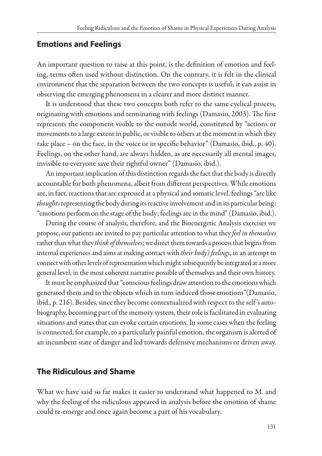#### **Emotions and Feelings**

An important question to raise at this point, is the definition of emotion and feeling, terms often used without distinction. On the contrary, it is felt in the clinical environment that the separation between the two concepts is useful; it can assist in observing the emerging phenomena in a clearer and more distinct manner.

It is understood that these two concepts both refer to the same cyclical process, originating with emotions and terminating with feelings (Damasio, 2003). The first represents the component visible to the outside world, constituted by "actions or movements to a large extent in public, or visible to others at the moment in which they take place – on the face, in the voice or in specific behavior" (Damasio, ibid., p. 40). Feelings, on the other hand, are always hidden, as are necessarily all mental images, invisible to everyone save their rightful owner" (Damasio, ibid.).

An important implication of this distinction regards the fact that the body is directly accountable for both phenomena, albeit from different perspectives. While emotions are, in fact, reactions that are expressed at a physical and somatic level, feelings "are like *thoughts* representing the body during its reactive involvement and in its particular being: "emotions perform on the stage of the body; feelings are in the mind" (Damasio, ibid.).

During the course of analysis, therefore, and the Bioenergetic Analysis exercises we propose, our patients are invited to pay particular attention to what they *feel in themselves*  rather than what they *think of themselves;* we direct them towards a process that begins from internal experiences and aims at making contact with *their body's feelings*, in an attempt to connect with other levels of representation which might subsequently be integrated at a more general level, in the most coherent narrative possible of themselves and their own history.

It must be emphasized that "conscious feelings draw attention to the emotions which generated them and to the objects which in turn induced those emotions"(Damasio, ibid., p. 216). Besides, since they become contextualized with respect to the self 's autobiography, becoming part of the memory system, their role is facilitated in evaluating situations and states that can evoke certain emotions. In some cases when the feeling is connected, for example, to a particularly painful emotion, the organism is alerted of an incumbent state of danger and led towards defensive mechanisms or driven away.

#### **The Ridiculous and Shame**

What we have said so far makes it easier to understand what happened to M. and why the feeling of the ridiculous appeared in analysis before the emotion of shame could re-emerge and once again become a part of his vocabulary.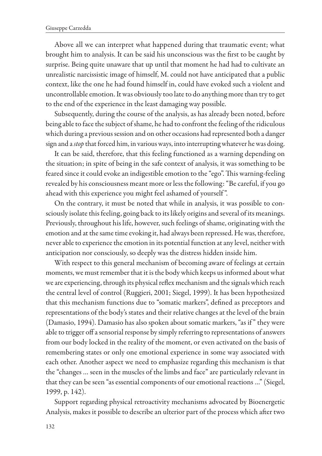Above all we can interpret what happened during that traumatic event; what brought him to analysis. It can be said his unconscious was the first to be caught by surprise. Being quite unaware that up until that moment he had had to cultivate an unrealistic narcissistic image of himself, M. could not have anticipated that a public context, like the one he had found himself in, could have evoked such a violent and uncontrollable emotion. It was obviously too late to do anything more than try to get to the end of the experience in the least damaging way possible.

Subsequently, during the course of the analysis, as has already been noted, before being able to face the subject of shame, he had to confront the feeling of the ridiculous which during a previous session and on other occasions had represented both a danger sign and a *stop* that forced him, in various ways, into interrupting whatever he was doing.

It can be said, therefore, that this feeling functioned as a warning depending on the situation; in spite of being in the safe context of analysis, it was something to be feared since it could evoke an indigestible emotion to the "ego". This warning-feeling revealed by his consciousness meant more or less the following: "Be careful, if you go ahead with this experience you might feel ashamed of yourself ".

On the contrary, it must be noted that while in analysis, it was possible to consciously isolate this feeling, going back to its likely origins and several of its meanings. Previously, throughout his life, however, such feelings of shame, originating with the emotion and at the same time evoking it, had always been repressed. He was, therefore, never able to experience the emotion in its potential function at any level, neither with anticipation nor consciously, so deeply was the distress hidden inside him.

With respect to this general mechanism of becoming aware of feelings at certain moments, we must remember that it is the body which keeps us informed about what we are experiencing, through its physical reflex mechanism and the signals which reach the central level of control (Ruggieri, 2001; Siegel, 1999). It has been hypothesized that this mechanism functions due to "somatic markers", defined as preceptors and representations of the body's states and their relative changes at the level of the brain (Damasio, 1994). Damasio has also spoken about somatic markers, "as if " they were able to trigger off a sensorial response by simply referring to representations of answers from our body locked in the reality of the moment, or even activated on the basis of remembering states or only one emotional experience in some way associated with each other. Another aspect we need to emphasize regarding this mechanism is that the "changes … seen in the muscles of the limbs and face" are particularly relevant in that they can be seen "as essential components of our emotional reactions …" (Siegel, 1999, p. 142).

Support regarding physical retroactivity mechanisms advocated by Bioenergetic Analysis, makes it possible to describe an ulterior part of the process which after two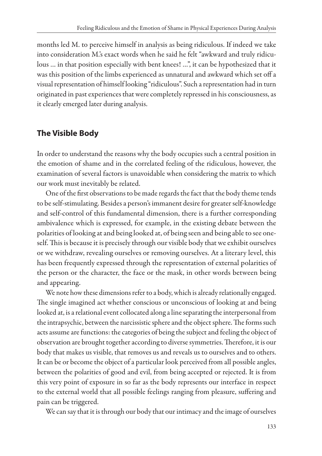months led M. to perceive himself in analysis as being ridiculous. If indeed we take into consideration M.'s exact words when he said he felt "awkward and truly ridiculous … in that position especially with bent knees! …", it can be hypothesized that it was this position of the limbs experienced as unnatural and awkward which set off a visual representation of himself looking "ridiculous". Such a representation had in turn originated in past experiences that were completely repressed in his consciousness, as it clearly emerged later during analysis.

# **The Visible Body**

In order to understand the reasons why the body occupies such a central position in the emotion of shame and in the correlated feeling of the ridiculous, however, the examination of several factors is unavoidable when considering the matrix to which our work must inevitably be related.

One of the first observations to be made regards the fact that the body theme tends to be self-stimulating. Besides a person's immanent desire for greater self-knowledge and self-control of this fundamental dimension, there is a further corresponding ambivalence which is expressed, for example, in the existing debate between the polarities of looking at and being looked at, of being seen and being able to see oneself. This is because it is precisely through our visible body that we exhibit ourselves or we withdraw, revealing ourselves or removing ourselves. At a literary level, this has been frequently expressed through the representation of external polarities of the person or the character, the face or the mask, in other words between being and appearing.

We note how these dimensions refer to a body, which is already relationally engaged. The single imagined act whether conscious or unconscious of looking at and being looked at, is a relational event collocated along a line separating the interpersonal from the intrapsychic, between the narcissistic sphere and the object sphere. The forms such acts assume are functions: the categories of being the subject and feeling the object of observation are brought together according to diverse symmetries. Therefore, it is our body that makes us visible, that removes us and reveals us to ourselves and to others. It can be or become the object of a particular look perceived from all possible angles, between the polarities of good and evil, from being accepted or rejected. It is from this very point of exposure in so far as the body represents our interface in respect to the external world that all possible feelings ranging from pleasure, suffering and pain can be triggered.

We can say that it is through our body that our intimacy and the image of ourselves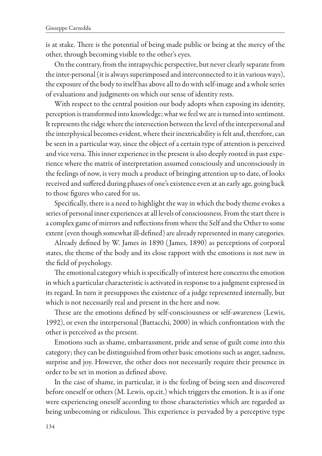is at stake. There is the potential of being made public or being at the mercy of the other, through becoming visible to the other's eyes.

On the contrary, from the intrapsychic perspective, but never clearly separate from the inter-personal (it is always superimposed and interconnected to it in various ways), the exposure of the body to itself has above all to do with self-image and a whole series of evaluations and judgments on which our sense of identity rests.

With respect to the central position our body adopts when exposing its identity, perception is transformed into knowledge; what we feel we are is turned into sentiment. It represents the ridge where the intersection between the level of the interpersonal and the interphysical becomes evident, where their inextricability is felt and, therefore, can be seen in a particular way, since the object of a certain type of attention is perceived and vice versa. This inner experience in the present is also deeply rooted in past experience where the matrix of interpretation assumed consciously and unconsciously in the feelings of now, is very much a product of bringing attention up to date, of looks received and suffered during phases of one's existence even at an early age, going back to those figures who cared for us.

Specifically, there is a need to highlight the way in which the body theme evokes a series of personal inner experiences at all levels of consciousness. From the start there is a complex game of mirrors and reflections from where the Self and the Other to some extent (even though somewhat ill-defined) are already represented in many categories.

Already defined by W. James in 1890 ( James, 1890) as perceptions of corporal states, the theme of the body and its close rapport with the emotions is not new in the field of psychology.

The emotional category which is specifically of interest here concerns the emotion in which a particular characteristic is activated in response to a judgment expressed in its regard. In turn it presupposes the existence of a judge represented internally, but which is not necessarily real and present in the here and now.

These are the emotions defined by self-consciousness or self-awareness (Lewis, 1992), or even the interpersonal (Battacchi, 2000) in which confrontation with the other is perceived as the present.

Emotions such as shame, embarrassment, pride and sense of guilt come into this category; they can be distinguished from other basic emotions such as anger, sadness, surprise and joy. However, the other does not necessarily require their presence in order to be set in motion as defined above.

In the case of shame, in particular, it is the feeling of being seen and discovered before oneself or others (M. Lewis, op.cit.) which triggers the emotion. It is as if one were experiencing oneself according to those characteristics which are regarded as being unbecoming or ridiculous. This experience is pervaded by a perceptive type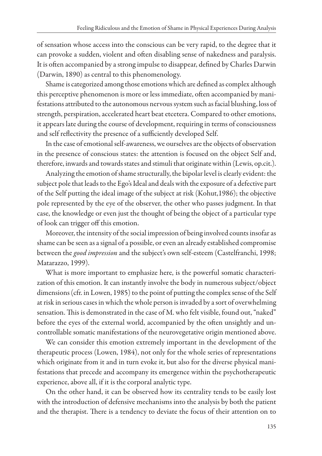of sensation whose access into the conscious can be very rapid, to the degree that it can provoke a sudden, violent and often disabling sense of nakedness and paralysis. It is often accompanied by a strong impulse to disappear, defined by Charles Darwin (Darwin, 1890) as central to this phenomenology.

Shame is categorized among those emotions which are defined as complex although this perceptive phenomenon is more or less immediate, often accompanied by manifestations attributed to the autonomous nervous system such as facial blushing, loss of strength, perspiration, accelerated heart beat etcetera. Compared to other emotions, it appears late during the course of development, requiring in terms of consciousness and self reflectivity the presence of a sufficiently developed Self.

In the case of emotional self-awareness, we ourselves are the objects of observation in the presence of conscious states: the attention is focused on the object Self and, therefore, inwards and towards states and stimuli that originate within (Lewis, op.cit.).

Analyzing the emotion of shame structurally, the bipolar level is clearly evident: the subject pole that leads to the Ego's Ideal and deals with the exposure of a defective part of the Self putting the ideal image of the subject at risk (Kohut,1986); the objective pole represented by the eye of the observer, the other who passes judgment. In that case, the knowledge or even just the thought of being the object of a particular type of look can trigger off this emotion.

Moreover, the intensity of the social impression of being involved counts insofar as shame can be seen as a signal of a possible, or even an already established compromise between the *good impression* and the subject's own self-esteem (Castelfranchi, 1998; Matarazzo, 1999).

What is more important to emphasize here, is the powerful somatic characterization of this emotion. It can instantly involve the body in numerous subject/object dimensions (cfr. in Lowen, 1985) to the point of putting the complex sense of the Self at risk in serious cases in which the whole person is invaded by a sort of overwhelming sensation. This is demonstrated in the case of M. who felt visible, found out, "naked" before the eyes of the external world, accompanied by the often unsightly and uncontrollable somatic manifestations of the neurovegetative origin mentioned above.

We can consider this emotion extremely important in the development of the therapeutic process (Lowen, 1984), not only for the whole series of representations which originate from it and in turn evoke it, but also for the diverse physical manifestations that precede and accompany its emergence within the psychotherapeutic experience, above all, if it is the corporal analytic type.

On the other hand, it can be observed how its centrality tends to be easily lost with the introduction of defensive mechanisms into the analysis by both the patient and the therapist. There is a tendency to deviate the focus of their attention on to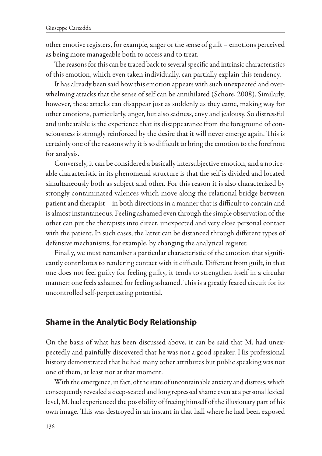other emotive registers, for example, anger or the sense of guilt – emotions perceived as being more manageable both to access and to treat.

The reasons for this can be traced back to several specific and intrinsic characteristics of this emotion, which even taken individually, can partially explain this tendency.

It has already been said how this emotion appears with such unexpected and overwhelming attacks that the sense of self can be annihilated (Schore, 2008). Similarly, however, these attacks can disappear just as suddenly as they came, making way for other emotions, particularly, anger, but also sadness, envy and jealousy. So distressful and unbearable is the experience that its disappearance from the foreground of consciousness is strongly reinforced by the desire that it will never emerge again. This is certainly one of the reasons why it is so difficult to bring the emotion to the forefront for analysis.

Conversely, it can be considered a basically intersubjective emotion, and a noticeable characteristic in its phenomenal structure is that the self is divided and located simultaneously both as subject and other. For this reason it is also characterized by strongly contaminated valences which move along the relational bridge between patient and therapist – in both directions in a manner that is difficult to contain and is almost instantaneous. Feeling ashamed even through the simple observation of the other can put the therapists into direct, unexpected and very close personal contact with the patient. In such cases, the latter can be distanced through different types of defensive mechanisms, for example, by changing the analytical register.

Finally, we must remember a particular characteristic of the emotion that significantly contributes to rendering contact with it difficult. Different from guilt, in that one does not feel guilty for feeling guilty, it tends to strengthen itself in a circular manner: one feels ashamed for feeling ashamed. This is a greatly feared circuit for its uncontrolled self-perpetuating potential.

#### **Shame in the Analytic Body Relationship**

On the basis of what has been discussed above, it can be said that M. had unexpectedly and painfully discovered that he was not a good speaker. His professional history demonstrated that he had many other attributes but public speaking was not one of them, at least not at that moment.

With the emergence, in fact, of the state of uncontainable anxiety and distress, which consequently revealed a deep-seated and long repressed shame even at a personal lexical level, M. had experienced the possibility of freeing himself of the illusionary part of his own image. This was destroyed in an instant in that hall where he had been exposed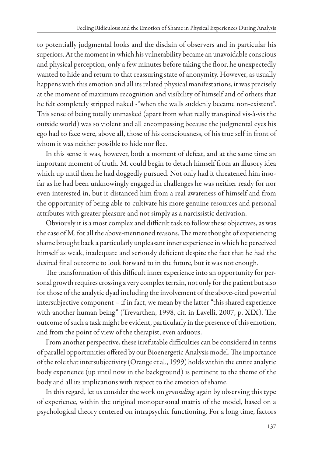to potentially judgmental looks and the disdain of observers and in particular his superiors. At the moment in which his vulnerability became an unavoidable conscious and physical perception, only a few minutes before taking the floor, he unexpectedly wanted to hide and return to that reassuring state of anonymity. However, as usually happens with this emotion and all its related physical manifestations, it was precisely at the moment of maximum recognition and visibility of himself and of others that he felt completely stripped naked -"when the walls suddenly became non-existent". This sense of being totally unmasked (apart from what really transpired vis-à-vis the outside world) was so violent and all encompassing because the judgmental eyes his ego had to face were, above all, those of his consciousness, of his true self in front of whom it was neither possible to hide nor flee.

In this sense it was, however, both a moment of defeat, and at the same time an important moment of truth. M. could begin to detach himself from an illusory idea which up until then he had doggedly pursued. Not only had it threatened him insofar as he had been unknowingly engaged in challenges he was neither ready for nor even interested in, but it distanced him from a real awareness of himself and from the opportunity of being able to cultivate his more genuine resources and personal attributes with greater pleasure and not simply as a narcissistic derivation.

Obviously it is a most complex and difficult task to follow these objectives, as was the case of M. for all the above-mentioned reasons. The mere thought of experiencing shame brought back a particularly unpleasant inner experience in which he perceived himself as weak, inadequate and seriously deficient despite the fact that he had the desired final outcome to look forward to in the future, but it was not enough.

The transformation of this difficult inner experience into an opportunity for personal growth requires crossing a very complex terrain, not only for the patient but also for those of the analytic dyad including the involvement of the above-cited powerful intersubjective component – if in fact, we mean by the latter "this shared experience with another human being" (Trevarthen, 1998, cit. in Lavelli, 2007, p. XIX). The outcome of such a task might be evident, particularly in the presence of this emotion, and from the point of view of the therapist, even arduous.

From another perspective, these irrefutable difficulties can be considered in terms of parallel opportunities offered by our Bioenergetic Analysis model. The importance of the role that intersubjectivity (Orange et al., 1999) holds within the entire analytic body experience (up until now in the background) is pertinent to the theme of the body and all its implications with respect to the emotion of shame.

In this regard, let us consider the work on *grounding* again by observing this type of experience, within the original monopersonal matrix of the model, based on a psychological theory centered on intrapsychic functioning. For a long time, factors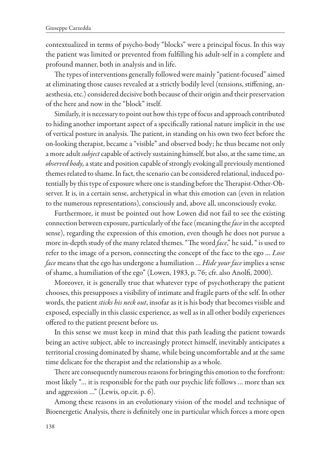contextualized in terms of psycho-body "blocks" were a principal focus. In this way the patient was limited or prevented from fulfilling his adult-self in a complete and profound manner, both in analysis and in life.

The types of interventions generally followed were mainly "patient-focused" aimed at eliminating those causes revealed at a strictly bodily level (tensions, stiffening, anaesthesia, etc.) considered decisive both because of their origin and their preservation of the here and now in the "block" itself.

Similarly, it is necessary to point out how this type of focus and approach contributed to hiding another important aspect of a specifically rational nature implicit in the use of vertical posture in analysis. The patient, in standing on his own two feet before the on-looking therapist, became a "visible" and observed body; he thus became not only a more adult *subject* capable of actively sustaining himself, but also, at the same time, an *observed body,* a state and position capable of strongly evoking all previously mentioned themes related to shame. In fact, the scenario can be considered relational, induced potentially by this type of exposure where one is standing before the Therapist-Other-Observer. It is, in a certain sense, archetypical in what this emotion can (even in relation to the numerous representations), consciously and, above all, unconsciously evoke.

Furthermore, it must be pointed out how Lowen did not fail to see the existing connection between exposure, particularly of the face (meaning the *face* in the accepted sense), regarding the expression of this emotion, even though he does not pursue a more in-depth study of the many related themes. "The word *face*," he said, " is used to refer to the image of a person, connecting the concept of the face to the ego … *Lose face* means that the ego has undergone a humiliation … *Hide your face* implies a sense of shame, a humiliation of the ego" (Lowen, 1983, p. 76; cfr. also Anolfi, 2000).

Moreover, it is generally true that whatever type of psychotherapy the patient chooses, this presupposes a visibility of intimate and fragile parts of the self. In other words, the patient *sticks his neck out*, insofar as it is his body that becomes visible and exposed, especially in this classic experience, as well as in all other bodily experiences offered to the patient present before us.

In this sense we must keep in mind that this path leading the patient towards being an active subject, able to increasingly protect himself, inevitably anticipates a territorial crossing dominated by shame, while being uncomfortable and at the same time delicate for the therapist and the relationship as a whole.

There are consequently numerous reasons for bringing this emotion to the forefront: most likely "… it is responsible for the path our psychic life follows … more than sex and aggression …" (Lewis, op.cit. p. 6).

Among these reasons in an evolutionary vision of the model and technique of Bioenergetic Analysis, there is definitely one in particular which forces a more open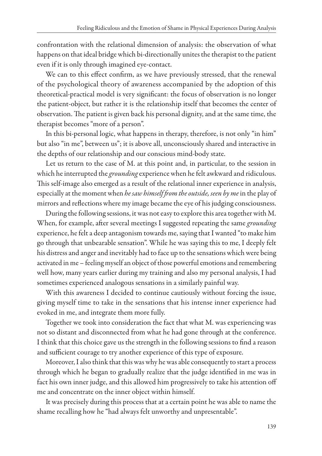confrontation with the relational dimension of analysis: the observation of what happens on that ideal bridge which bi-directionally unites the therapist to the patient even if it is only through imagined eye-contact.

We can to this effect confirm, as we have previously stressed, that the renewal of the psychological theory of awareness accompanied by the adoption of this theoretical-practical model is very significant: the focus of observation is no longer the patient-object, but rather it is the relationship itself that becomes the center of observation. The patient is given back his personal dignity, and at the same time, the therapist becomes "more of a person".

In this bi-personal logic, what happens in therapy, therefore, is not only "in him" but also "in me", between us"; it is above all, unconsciously shared and interactive in the depths of our relationship and our conscious mind-body state.

Let us return to the case of M. at this point and, in particular, to the session in which he interrupted the *grounding* experience when he felt awkward and ridiculous. This self-image also emerged as a result of the relational inner experience in analysis, especially at the moment when *he saw himself from the outside, seen by me* in the play of mirrors and reflections where my image became the eye of his judging consciousness.

During the following sessions, it was not easy to explore this area together with M. When, for example, after several meetings I suggested repeating the same *grounding* experience, he felt a deep antagonism towards me, saying that I wanted "to make him go through that unbearable sensation". While he was saying this to me, I deeply felt his distress and anger and inevitably had to face up to the sensations which were being activated in me – feeling myself an object of those powerful emotions and remembering well how, many years earlier during my training and also my personal analysis, I had sometimes experienced analogous sensations in a similarly painful way.

With this awareness I decided to continue cautiously without forcing the issue, giving myself time to take in the sensations that his intense inner experience had evoked in me, and integrate them more fully.

Together we took into consideration the fact that what M. was experiencing was not so distant and disconnected from what he had gone through at the conference. I think that this choice gave us the strength in the following sessions to find a reason and sufficient courage to try another experience of this type of exposure.

Moreover, I also think that this was why he was able consequently to start a process through which he began to gradually realize that the judge identified in me was in fact his own inner judge, and this allowed him progressively to take his attention off me and concentrate on the inner object within himself.

It was precisely during this process that at a certain point he was able to name the shame recalling how he "had always felt unworthy and unpresentable".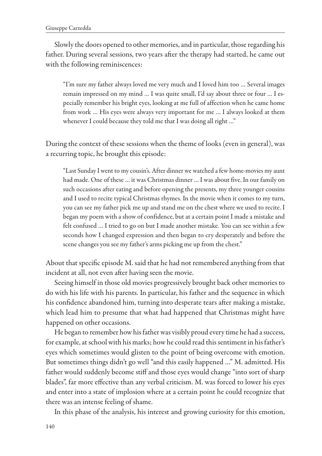Slowly the doors opened to other memories, and in particular, those regarding his father. During several sessions, two years after the therapy had started, he came out with the following reminiscences:

"I'm sure my father always loved me very much and I loved him too … Several images remain impressed on my mind … I was quite small, I'd say about three or four … I especially remember his bright eyes, looking at me full of affection when he came home from work … His eyes were always very important for me … I always looked at them whenever I could because they told me that I was doing all right ..."

During the context of these sessions when the theme of looks (even in general), was a recurring topic, he brought this episode:

"Last Sunday I went to my cousin's. After dinner we watched a few home-movies my aunt had made. One of these … it was Christmas dinner … I was about five. In our family on such occasions after eating and before opening the presents, my three younger cousins and I used to recite typical Christmas rhymes. In the movie when it comes to my turn, you can see my father pick me up and stand me on the chest where we used to recite. I began my poem with a show of confidence, but at a certain point I made a mistake and felt confused … I tried to go on but I made another mistake. You can see within a few seconds how I changed expression and then began to cry desperately and before the scene changes you see my father's arms picking me up from the chest."

About that specific episode M. said that he had not remembered anything from that incident at all, not even after having seen the movie.

Seeing himself in those old movies progressively brought back other memories to do with his life with his parents. In particular, his father and the sequence in which his confidence abandoned him, turning into desperate tears after making a mistake, which lead him to presume that what had happened that Christmas might have happened on other occasions.

He began to remember how his father was visibly proud every time he had a success, for example, at school with his marks; how he could read this sentiment in his father's eyes which sometimes would glisten to the point of being overcome with emotion. But sometimes things didn't go well "and this easily happened …" M. admitted. His father would suddenly become stiff and those eyes would change "into sort of sharp blades", far more effective than any verbal criticism. M. was forced to lower his eyes and enter into a state of implosion where at a certain point he could recognize that there was an intense feeling of shame.

In this phase of the analysis, his interest and growing curiosity for this emotion,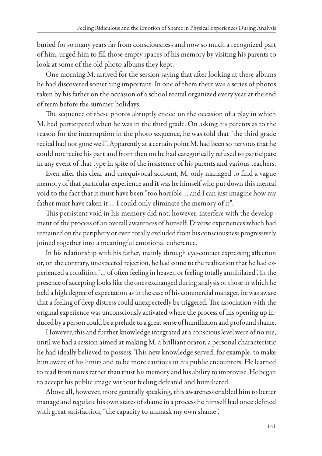buried for so many years far from consciousness and now so much a recognized part of him, urged him to fill those empty spaces of his memory by visiting his parents to look at some of the old photo albums they kept.

One morning M. arrived for the session saying that after looking at these albums he had discovered something important. In one of them there was a series of photos taken by his father on the occasion of a school recital organized every year at the end of term before the summer holidays.

The sequence of these photos abruptly ended on the occasion of a play in which M. had participated when he was in the third grade. On asking his parents as to the reason for the interruption in the photo sequence, he was told that "the third grade recital had not gone well". Apparently at a certain point M. had been so nervous that he could not recite his part and from then on he had categorically refused to participate in any event of that type in spite of the insistence of his parents and various teachers.

Even after this clear and unequivocal account, M. only managed to find a vague memory of that particular experience and it was he himself who put down this mental void to the fact that it must have been "too horrible … and I can just imagine how my father must have taken it … I could only eliminate the memory of it".

This persistent void in his memory did not, however, interfere with the development of the process of an overall awareness of himself. Diverse experiences which had remained on the periphery or even totally excluded from his consciousness progressively joined together into a meaningful emotional coherence.

In his relationship with his father, mainly through eye-contact expressing affection or, on the contrary, unexpected rejection, he had come to the realization that he had experienced a condition "… of often feeling in heaven or feeling totally annihilated". In the presence of accepting looks like the ones exchanged during analysis or those in which he held a high degree of expectation as in the case of his commercial manager, he was aware that a feeling of deep distress could unexpectedly be triggered. The association with the original experience was unconsciously activated where the process of his opening up induced by a person could be a prelude to a great sense of humiliation and profound shame.

However, this and further knowledge integrated at a conscious level were of no use, until we had a session aimed at making M. a brilliant orator, a personal characteristic he had ideally believed to possess. This new knowledge served, for example, to make him aware of his limits and to be more cautious in his public encounters. He learned to read from notes rather than trust his memory and his ability to improvise. He began to accept his public image without feeling defeated and humiliated.

Above all, however, more generally speaking, this awareness enabled him to better manage and regulate his own states of shame in a process he himself had once defined with great satisfaction, "the capacity to unmask my own shame".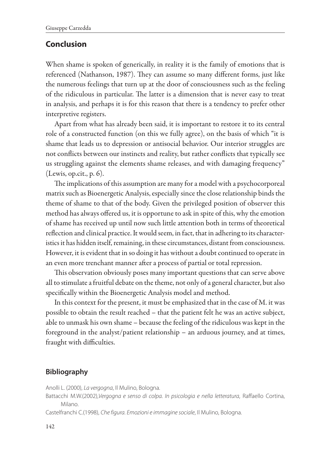# **Conclusion**

When shame is spoken of generically, in reality it is the family of emotions that is referenced (Nathanson, 1987). They can assume so many different forms, just like the numerous feelings that turn up at the door of consciousness such as the feeling of the ridiculous in particular. The latter is a dimension that is never easy to treat in analysis, and perhaps it is for this reason that there is a tendency to prefer other interpretive registers.

Apart from what has already been said, it is important to restore it to its central role of a constructed function (on this we fully agree), on the basis of which "it is shame that leads us to depression or antisocial behavior. Our interior struggles are not conflicts between our instincts and reality, but rather conflicts that typically see us struggling against the elements shame releases, and with damaging frequency" (Lewis, op.cit., p. 6).

The implications of this assumption are many for a model with a psychocorporeal matrix such as Bioenergetic Analysis, especially since the close relationship binds the theme of shame to that of the body. Given the privileged position of observer this method has always offered us, it is opportune to ask in spite of this, why the emotion of shame has received up until now such little attention both in terms of theoretical reflection and clinical practice. It would seem, in fact, that in adhering to its characteristics it has hidden itself, remaining, in these circumstances, distant from consciousness. However, it is evident that in so doing it has without a doubt continued to operate in an even more trenchant manner after a process of partial or total repression.

This observation obviously poses many important questions that can serve above all to stimulate a fruitful debate on the theme, not only of a general character, but also specifically within the Bioenergetic Analysis model and method.

In this context for the present, it must be emphasized that in the case of M. it was possible to obtain the result reached – that the patient felt he was an active subject, able to unmask his own shame – because the feeling of the ridiculous was kept in the foreground in the analyst/patient relationship – an arduous journey, and at times, fraught with difficulties.

# **Bibliography**

Anolli L. (2000), *La vergogna*, Il Mulino, Bologna.

Battacchi M.W.(2002),*Vergogna e senso di colpa. In psicologia e nella letteratura*, Raffaello Cortina, Milano.

Castelfranchi C.(1998), *Che figura. Emozioni e immagine sociale*, Il Mulino, Bologna.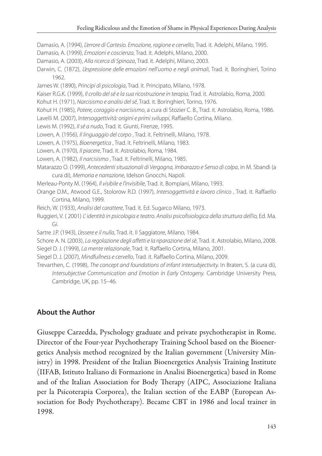Damasio, A. (1994), *L'errore di Cartesio. Emozione, ragione e cervello*, Trad. it. Adelphi, Milano, 1995.

Damasio, A. (1999), *Emozioni e coscienza*, Trad. it. Adelphi, Milano, 2000.

Damasio, A. (2003), *Alla ricerca di Spinoza*, Trad. it. Adelphi, Milano, 2003.

Darwin, C. (1872), *L'espressione delle emozioni nell'uomo e negli animali*, Trad. it. Boringhieri, Torino 1962.

James W. (1890), *Principi di psicologia*, Trad. it. Principato, Milano, 1978.

Kaiser R.G.K. (1999), *Il crollo del sé e la sua ricostruzione in terapia*, Trad. it. Astrolabio, Roma, 2000.

Kohut H. (1971), *Narcisismo e analisi del sé*, Trad. it. Boringhieri, Torino, 1976.

Kohut H. (1985), *Potere, coraggio e narcisismo*, a cura di Stozier C. B., Trad. it. Astrolabio, Roma, 1986.

Lavelli M. (2007), *Intersoggettività: origini e primi sviluppi*, Raffaello Cortina, Milano.

- Lewis M. (1992), *Il sé a nudo*, Trad. it. Giunti, Firenze, 1995.
- Lowen, A. (1956), *Il linguaggio del corpo* , Trad. it. Feltrinelli, Milano, 1978.
- Lowen, A. (1975), *Bioenergetica* , Trad. it. Feltrinelli, Milano, 1983.

Lowen, A. (1970), *Il piacere*, Trad. it. Astrolabio, Roma, 1984.

Lowen, A. (1982), *Il narcisismo* , Trad. it. Feltrinelli, Milano, 1985.

Matarazzo O. (1999), *Antecedenti situazionali di Vergogna, Imbarazzo e Senso di colpa*, in M. Sbandi (a cura di), *Memoria e narrazione*, Idelson Gnocchi, Napoli.

- Merleau-Ponty M. (1964), *Il visibile e l'invisibile*, Trad. it. Bompiani, Milano, 1993.
- Orange D.M., Atwood G.E., Stolorow R.D. (1997), *Intersoggettività e lavoro clinico* , Trad. it. Raffaello Cortina, Milano, 1999.

Reich, W. (1933), *Analisi del carattere*, Trad. it. Ed. Sugarco Milano, 1973.

- Ruggieri, V. (2001) *L' identità in psicologia e teatro. Analisi psicofisiologica della struttura dell'io*, Ed. Ma. Gi.
- Sartre J.P. (1943), *L'essere e il nulla*, Trad. it. Il Saggiatore, Milano, 1984.

Schore A. N. (2003), *La regolazione degli affetti e la riparazione del sè*, Trad. it. Astrolabio, Milano, 2008.

Siegel D. J. (1999), *La mente relazionale*, Trad. it. Raffaello Cortina, Milano, 2001.

Siegel D. J. (2007), *Mindfullness e cervello*, Trad. it. Raffaello Cortina, Milano, 2009.

Trevarthen, C. (1998), *The concept and foundations of infant intersubjectivity.* In Braten, S. (a cura di), *Intersubjective Communication and Emotion in Early Ontogeny.* Cambridge University Press, Cambridge, UK, pp. 15–46.

# **About the Author**

Giuseppe Carzedda, Pyschology graduate and private psychotherapist in Rome. Director of the Four-year Psychotherapy Training School based on the Bioenergetics Analysis method recognized by the Italian government (University Ministry) in 1998. President of the Italian Bioenergetics Analysis Training Institute (IIFAB, Istituto Italiano di Formazione in Analisi Bioenergetica) based in Rome and of the Italian Association for Body Therapy (AIPC, Associazione Italiana per la Psicoterapia Corporea), the Italian section of the EABP (European Association for Body Psychotherapy). Became CBT in 1986 and local trainer in 1998.